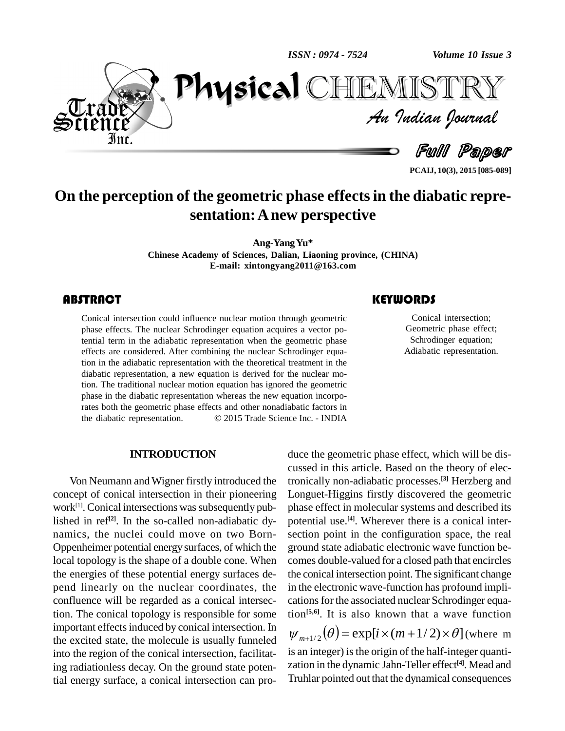*ISSN : 0974 - 7524*

*Volume 10 Issue 3*



*Volume 10 Issue 3*<br>IISTRY<br>Indian Iournal PhysicalTEMISTT

Full Paper

**PCAIJ, 10(3), 2015 [085-089]**

## **On the perception of the geometric phase effectsin the diabatic repre sentation:Anew perspective**

**Ang-YangYu\***

**Chinese Academy** of Sciences, Dalian, Liaoning province, (CHINA) **E-mail: [xintongyang2011@163.com](mailto:xintongyang2011@163.com)**

## **ABSTRACT**

Conical intersection couplase effects. The nucleuslength and term in the adiable Conical intersection could influence nuclear motion through geometric phase effects. The nuclear Schrodinger equation acquires a vector potential term in the adiabatic representation when the geometric phase effects are considered. After combining the nuclear Schrodinger equation in the adiabatic representation with the theoretical treatment in the diabatic representation, a new equation is derived for the nuclear motion. The traditional nuclear motion equation has ignored the geometric phase in the diabatic representation whereas the new equation incorporates both the geometric phase effects and other nonadiabatic factors in phase in the diabatic representation whereas the new equation incorporates both the geometric phase effects and other nonadiabatic factors in the diabatic representation.  $\odot$  2015 Trade Science Inc. - INDIA

#### **INTRODUCTION**

Von Neumann and Wigner firstly introduced the concept of conical intersection in their pioneering work<sup>[1]</sup>. Conical intersections was subsequently pub-<br>pl lished in ref<sup>[2]</sup>. In the so-called non-adiabatic dy- pote namics, the nuclei could move on two Born- Oppenheimer potential energy surfaces, of which the local topology is the shape of a double cone. When the energies of these potential energy surfaces de pend linearly on the nuclear coordinates, the confluence will be regarded as a conical intersection. The conical topology is responsible for some important effects induced by conical intersection. In the excited state, the molecule is usually funneled into the region of the conical intersection, facilitating radiationless decay. On the ground state potential energy surface, a conical intersection can pro-

## **KEYWORDS**

Conical intersection;<br>Geometric phase effect;<br>Schrodinger equation; Conical intersection; Geometric phase effect; Adiabatic representation.

duce the geometric phase effect, which will be dis cussed in this article. Based on the theory of electronically non-adiabatic processes. **[3]** Herzberg and Longuet-Higgins firstly discovered the geometric phase effect in molecular systems and described its potential use. **[4]**. Wherever there is a conical inter section point in the configuration space, the real ground state adiabatic electronic wave function be comes double-valued for a closed path that encircles the conical intersection point. The significant change in the electronic wave-function has profound impli cations for the associated nuclear Schrodinger equation **[5,6]**. It is also known that a wave function

 $\Psi_{m+1/2}(\theta) = \exp[i \times (m+1/2) \times \theta]$  (where m is an integer) is the origin of the half-integer quantization in the dynamic Jahn-Teller effect **[4]**. Mead and Truhlar pointed out that the dynamical consequences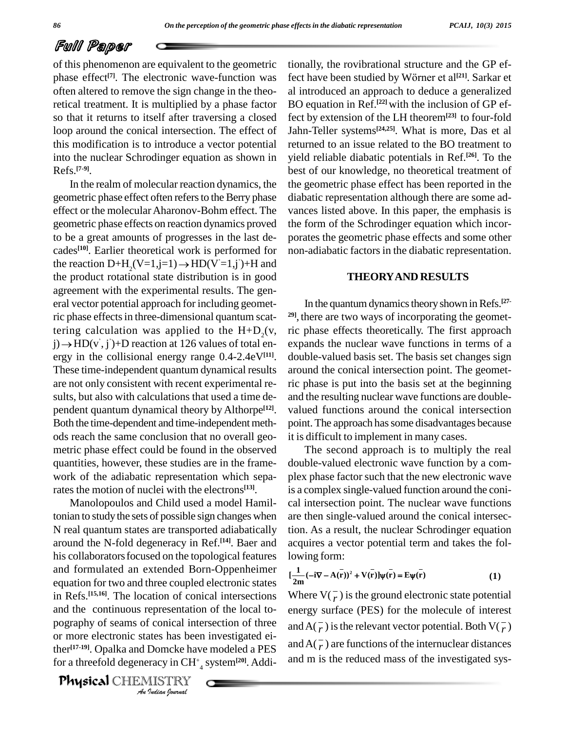## Full Paper

of this phenomenon are equivalent to the geometric phase effect<sup>[7]</sup>. The electronic wave-function was fect] often altered to remove the sign change in the theoretical treatment. It is multiplied by a phase factor so that it returns to itself after traversing a closed loop around the conical intersection. The effect of this modification is to introduce a vector potential into the nuclear Schrodinger equation as shown in Refs. **[7-9]**.

In the realm of molecular reaction dynamics, the geometric phase effect often refers to the Berry phase effect or the molecular Aharonov-Bohm effect. The geometric phase effects on reaction dynamics proved to be a great amounts of progresses in the last de cades **[10]**. Earlier theoretical work is performed for to be a great amounts of progresses in the last<br>cades<sup>[10]</sup>. Earlier theoretical work is performed<br>the reaction D+H<sub>2</sub>(V=1,j=1)  $\rightarrow$  HD(V′=1,j′)+H the reaction  $D+H_2(V=1,i=1) \rightarrow HD(V=1,i)+H$  and the product rotational state distribution is in good agreement with the experimental results. The gen eral vector potential approach for including geometric phase effects in three-dimensional quantum scatric phase effects in three-dimensional quantum scat-<br>tering calculation was applied to the  $H+D_2(v, \text{ric})$ <br>j)  $\rightarrow$  HD(v', j')+D reaction at 126 values of total eníí, j )+D reaction at 126 values of total en ergy in the collisional energy range 0.4-2.4eV**[11]**. These time-independent quantum dynamical results are not only consistent with recent experimental re sults, but also with calculations that used a time de pendent quantum dynamical theory by Althorpe<sup>[12]</sup>. va Both the time-dependent and time-independent methods reach the same conclusion that no overall geo metric phase effect could be found in the observed quantities, however, these studies are in the frame work of the adiabatic representation which separates the motion of nuclei with the electrons **[13]**.

and the continuous representation of the local to- ene *I* conical interaction<br>*Indian* been<br>*Indian Indian*<br>*Indian Iournal* Manolopoulos and Child used a model Hamiltonian to study the sets of possible sign changes when N real quantum states are transported adiabatically around the N-fold degeneracy in Ref. **[14]**. Baer and his collaboratorsfocused on the topological features and formulated an extended Born-Oppenheimer equation for two and three coupled electronic states in Refs.<sup>[15,16]</sup>. The location of conical intersections Whe pography of seams of conical intersection of three or more electronic states has been investigated either<sup>[17-19]</sup>. Opalka and Domcke have modeled a PES  $\frac{d\ln A}{d}$ for a threefold degeneracy in CH<sup>+</sup> <sup>4</sup> system**[20]**. Addi-

Physical CHEMISTRY

tionally, the rovibrational structure and the GP eftionally, the rovibrational structure and the GP ef-<br>fect have been studied by Wörner et al<sup>[21]</sup>. Sarkar et al introduced an approach to deduce a generalized BO equation in Ref. **[22]** with the inclusion of GP effect by extension of the LH theorem**[23]** to four-fold Jahn-Teller systems **[24,25]**. What is more, Das et al returned to an issue related to the BO treatment to yield reliable diabatic potentials in Ref. **[26]**. To the best of our knowledge, no theoretical treatment of the geometric phase effect has been reported in the diabatic representation although there are some ad vances listed above. In this paper, the emphasis is the form of the Schrodinger equation which incor porates the geometric phase effects and some other non-adiabatic factors in the diabatic representation.

#### **THEORYAND RESULTS**

In the quantum dynamics theory shown in Refs.<sup>[27-</sup> **29]**, there are two ways of incorporating the geometric phase effects theoretically. The first approach expands the nuclear wave functions in terms of a double-valued basis set. The basis set changes sign around the conical intersection point. The geometric phase is put into the basis set at the beginning and the resulting nuclear wave functions are double valued functions around the conical intersection point. The approach has some disadvantages because it is difficult to implement in many cases.

The second approach is to multiply the real double-valued electronic wave function by a com plex phase factor such that the new electronic wave is a complex single-valued function around the coni cal intersection point. The nuclear wave functions are then single-valued around the conical intersection. As a result, the nuclear Schrodinger equation acquires a vector potential term and takes the following form:<br> $\frac{1}{2}$   $(\sqrt{37} + \sqrt{2})^2 + \sqrt{2}$ 

lowing form:  
\n
$$
[\frac{1}{2m}(-i\nabla - A(\bar{r}))^2 + V(\bar{r})]\psi(\bar{r}) = E\psi(\bar{r})
$$
\n(1)

Where  $V(\overline{r})$  is the ground electronic state potential energy surface (PES) for the molecule of interest and  $A(\overline{r})$  is the relevant vector potential. Both  $V(\overline{r})$ and  $A(\overline{r})$  are functions of the internuclear distances and m is the reduced mass of the investigated sys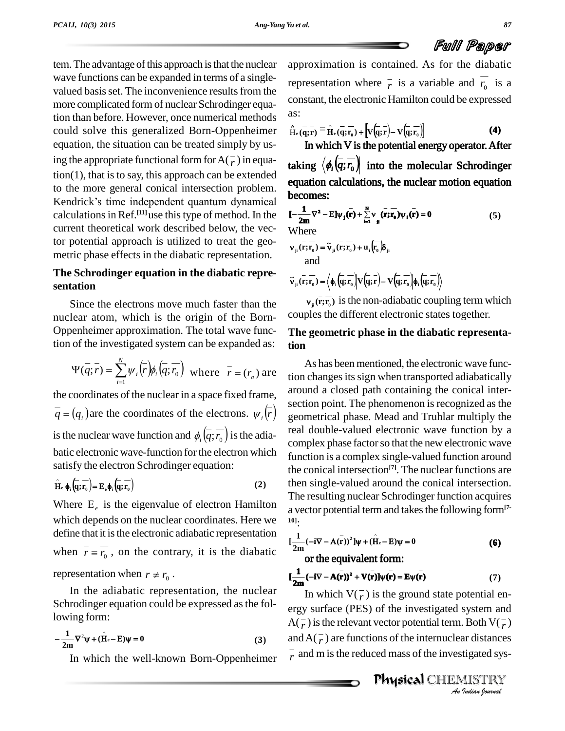tem. The advantage of this approach is that the nuclear wave functions can be expanded in terms of a single valued basis set. The inconvenience results from the more complicated form of nuclear Schrodinger equation than before. However, once numerical methods could solve this generalized Born-Oppenheimer equation, the situation can be treated simply by using the appropriate functional form for  $A(\overline{r})$  in equa- $\text{tion}(1)$ , that is to say, this approach can be extended to the more general conical intersection problem.  $\mathcal{L}$ tion(1), that is to say, this approach can be extended<br>to the more general conical intersection problem.<br>Kendrick's time independent quantum dynamical calculations in Ref.<sup>[11]</sup>use this type of method. In the  $I = \frac{1}{2m}$ current theoretical work described below, the vector potential approach is utilized to treat the geo metric phase effects in the diabatic representation.

### **The Schrodinger equation in the diabatic repre sentation**

Since the electrons move much faster than the nuclear atom, which is the origin of the Born-Oppenheimer approximation. The total wave func-

tion of the investigated system can be expanded as: **tion**  
\n
$$
\Psi(\overline{q};\overline{r}) = \sum_{i=1}^{N} \psi_i(\overline{r}) \phi_i(\overline{q};\overline{r_0}) \text{ where } \overline{r} = (r_a) \text{ are } \overline{\text{tion c}}
$$

the coordinates of the nuclear in <sup>a</sup> space fixed frame, the coordinates of the nuclear in a space fixed frame, around a<br> $\overline{q} = (q_i)$  are the coordinates of the electrons.  $\psi_i(\overline{r})$  geometric  $\overline{q} = (q_i)$  are the coordinates of the electrons.  $\psi_i(\overline{r})$  geo<br>is the nuclear wave function and  $\phi_i(\overline{q}; \overline{r_0})$  is the adiabatic electronic wave-function for the electron which

satisfy the electron Schrodinger equation:  
\n
$$
\hat{H}_c \phi_i \left( \overline{q}; \overline{r}_0 \right) = E_c \phi_i \left( \overline{q}; \overline{r}_0 \right)
$$
\n(2)

Where  $E_e$  is the eigenvalue of electron Hamilton which depends on the nuclear coordinates. Here we define that it is the electronic adiabatic representation which depends on the nuclear coordinates. Here we will:<br>define that it is the electronic adiabatic representation<br>when  $\overline{r} = \overline{r_0}$ , on the contrary, it is the diabatic when  $\overline{r} \equiv \overline{r_0}$ , on the contrary, it<br>representation when  $\overline{r} \neq \overline{r_0}$ .

In the adiabatic representation, the nuclear Schrodinger equation could be expressed as the fol-

lowing form:  

$$
-\frac{1}{2m}\nabla^2\psi + (\hat{H}_e - E)\psi = 0
$$
 (3)

In which the well-known Born-Oppenheimer

approximation is contained. As for the diabatic representation where  $\overline{r}$  is a variable and  $r_0$  is a constant, the electronic Hamilton could be expressed as:

as:  
\n
$$
\hat{H}_{e}(\overline{q};\overline{r}) = \hat{H}_{e}(\overline{q};\overline{r}_{0}) + \left[ V(\overline{q};\overline{r}) - V(\overline{q};\overline{r}_{0}) \right]
$$
\n(4)

In which V is the potential energy operator. After taking  $\langle \phi_i(\overline{q}; \overline{r_0}) \rangle$  into the molecular Schrodinger equation calculations, the nuclear motion equation becomes:

becomes:  
\n
$$
[-\frac{1}{2m}\nabla^2 - E]\psi_j(\mathbf{r}) + \sum_{i=1}^N v_j(\mathbf{r}; \mathbf{r}_0)\psi_i(\mathbf{r}) = 0
$$
\n(5)  
\nWhere  
\n
$$
v_{ji}(\mathbf{r}; \mathbf{r}_0) = \tilde{v}_{ji}(\mathbf{r}; \mathbf{r}_0) + u_i(\mathbf{r}_0)\delta_{ji}
$$

and

and  

$$
\widetilde{\mathbf{v}}_{ji}(\overline{\mathbf{r}};\overline{\mathbf{r}_0}) = \left\langle \phi_i \left( \overline{\mathbf{q}}; \overline{\mathbf{r}_0} \right) \mathbf{V} \left( \overline{\mathbf{q}}; \overline{\mathbf{r}} \right) - \mathbf{V} \left( \overline{\mathbf{q}}; \overline{\mathbf{r}_0} \right) \right\rangle \phi_i \left( \overline{\mathbf{q}}; \overline{\mathbf{r}_0} \right)
$$

 $v_{ji}(\mathbf{r};\mathbf{r}_0)$  is the non-adiabatic coupling term which couples the different electronic states together.

### **The geometric phase in the diabatic representation**

As has been mentioned, the electronic wave function changes its sign when transported adiabatically around a closed path containing the conical inter section point. The phenomenon is recognized as the geometrical phase. Mead and Truhlar multiply the real double-valued electronic wave function by a complex phase factor so that the new electronic wave function is a complex single-valued function around the conical intersection **[7]**. The nuclear functions are then single-valued around the conical intersection. The resulting nuclear Schrodinger function acquires a vector potential term and takesthe following form**[7- 10]**:

$$
[\frac{1}{2m}(-i\nabla - A(\mathbf{r}))^2]\psi + (\hat{H}_e - E)\psi = 0
$$
\n(6)

\nor the equivalent form:

or the equivalent form:  
\n
$$
[\frac{1}{2m}(-i\nabla - A(\bar{r}))^2 + V(\bar{r})]\psi(\bar{r}) = E\psi(\bar{r})
$$
\n(7)

ergy surface (PES) of the investigated system and *I*<br>*I*slames<br>*Indian*<br>*Indian hournal*<br>*Indian hournal* In which  $V(\overline{r})$  is the ground state potential en- $A(\overline{r})$  is the relevant vector potential term. Both  $V(\overline{r})$ and  $A(\overline{r})$  are functions of the internuclear distances  $\bar{r}$  and m is the reduced mass of the investigated sys-

Physical CHEMISTRY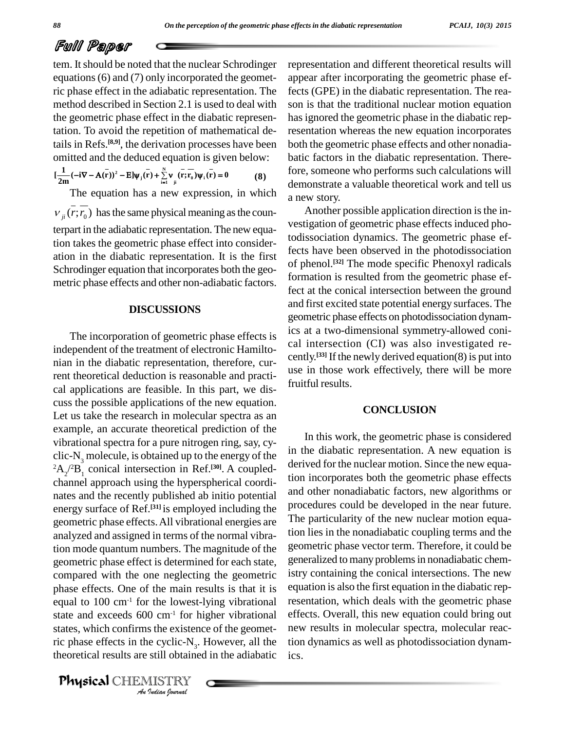# Full Paper

tem. It should be noted that the nuclear Schrodinger equations(6) and (7) only incorporated the geometric phase effect in the adiabatic representation. The method described in Section 2.1 is used to deal with the geometric phase effect in the diabatic representation. To avoid the repetition of mathematical details in Refs.<sup>[8,9]</sup>, the derivation processes have been both the omitted and the deduced equation is given below:<br>  $[\frac{1}{2m}(-i\nabla - A(\vec{r}))^2 - E]\psi_j(\vec{r}) + \sum_{i=1}^{N} v(\vec{r}; \vec{r}_0)\psi_i(\vec{r}) = 0$  (8)

$$
\left[\frac{1}{2m}(-i\nabla - A(\mathbf{r}))^2 - E\right]\psi_j(\mathbf{r}) + \sum_{i=1}^N \mathbf{v}_i(\mathbf{r}; \mathbf{r}_0) \psi_i(\mathbf{r}) = 0 \tag{8}
$$

The equation has a new expression, in which  $v_{ji}(r; r_0)$  has the same physical meaning as the counterpart in the adiabatic representation. The new equation takes the geometric phase effect into consider ation in the diabatic representation. It is the first Schrodinger equation that incorporates both the geometric phase effects and other non-adiabatic factors.

#### **DISCUSSIONS**

state and exceeds 600 cm<sup>-1</sup> for higher vibrational eff *I* com<sup>-1</sup> for h<br>*Indian Indiane*<br>*IIII* obtaine<br>*IIIII Indian hournal* The incorporation of geometric phase effects is independent of the treatment of electronic Hamilto nian in the diabatic representation, therefore, current theoretical deduction is reasonable and practi cal applications are feasible. In this part, we dis cuss the possible applications of the new equation. Let us take the research in molecular spectra as an example, an accurate theoretical prediction of the vibrational spectra for a pure nitrogen ring, say, cy clic- $N<sub>3</sub>$  molecule, is obtained up to the energy of the  ${}^{2}A_{2}/{}^{2}B_{1}$  conical intersection in Ref.<sup>[30]</sup>. A coupledchannel approach using the hyperspherical coordi nates and the recently published ab initio potential energy surface of Ref.<sup>[31]</sup> is employed including the P<sup>roce</sup> geometric phase effects.All vibrational energies are analyzed and assigned in terms of the normal vibration mode quantum numbers.The magnitude of the geometric phase effect is determined for each state, compared with the one neglecting the geometric phase effects. One of the main results is that it is equal to 100 cm-1 for the lowest-lying vibrational states, which confirms the existence of the geometric phase effects in the cyclic- $N_3$ . However, all the tion d theoretical results are still obtained in the adiabatic

Physical CHEMISTRY

representation and different theoretical results will appear after incorporating the geometric phase effects (GPE) in the diabatic representation. The rea son is that the traditional nuclear motion equation has ignored the geometric phase in the diabatic representation whereas the new equation incorporates both the geometric phase effects and other nonadia batic factors in the diabatic representation. Therefore, someone who performs such calculations will demonstrate a valuable theoretical work and tell us a new story.

Another possible application direction is the investigation of geometric phase effects induced photodissociation dynamics. The geometric phase effects have been observed in the photodissociation of phenol. **[32]** The mode specific Phenoxyl radicals formation is resulted from the geometric phase effect at the conical intersection between the ground and first excited state potential energy surfaces. The geometric phase effects on photodissociation dynamics at a two-dimensional symmetry-allowed coni cal intersection (CI) was also investigated re cently. **[33]** If the newly derived equation(8) is put into use in those work effectively, there will be more fruitful results.

#### **CONCLUSION**

In this work, the geometric phase is considered in the diabatic representation. A new equation is derived for the nuclear motion. Since the new equation incorporates both the geometric phase effects and other nonadiabatic factors, new algorithms or procedures could be developed in the near future. The particularity of the new nuclear motion equation lies in the nonadiabatic coupling terms and the geometric phase vector term. Therefore, it could be generalized to many problemsin nonadiabatic chemistry containing the conical intersections. The new equation is also the first equation in the diabatic representation, which deals with the geometric phase effects. Overall, this new equation could bring out new results in molecular spectra, molecular reaction dynamics as well as photodissociation dynamics.